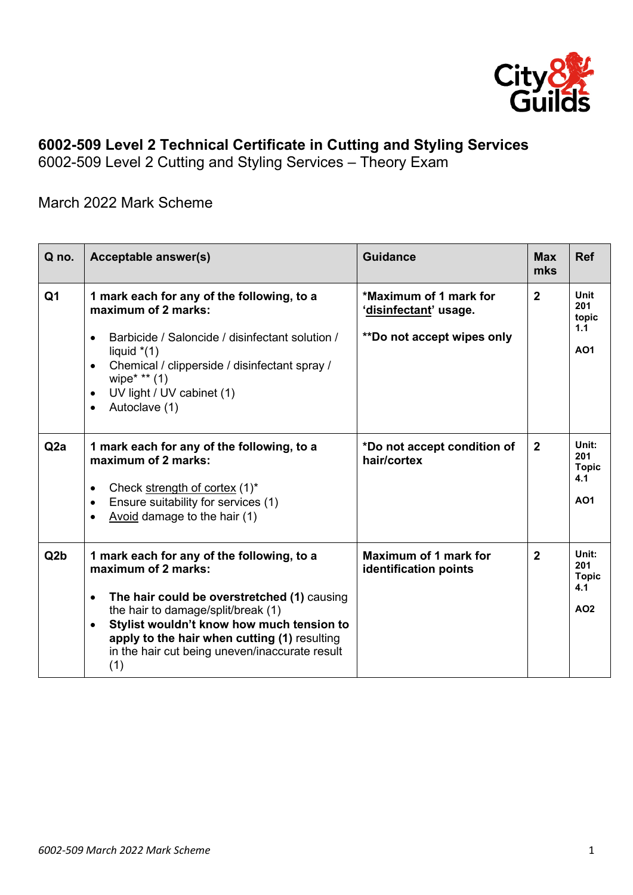

## **6002-509 Level 2 Technical Certificate in Cutting and Styling Services**

6002-509 Level 2 Cutting and Styling Services – Theory Exam

## March 2022 Mark Scheme

| Q no.            | Acceptable answer(s)                                                                                                                                                                                                                                                                                                                   | <b>Guidance</b>                                                               | <b>Max</b><br>mks | <b>Ref</b>                                        |
|------------------|----------------------------------------------------------------------------------------------------------------------------------------------------------------------------------------------------------------------------------------------------------------------------------------------------------------------------------------|-------------------------------------------------------------------------------|-------------------|---------------------------------------------------|
| Q <sub>1</sub>   | 1 mark each for any of the following, to a<br>maximum of 2 marks:<br>Barbicide / Saloncide / disinfectant solution /<br>$\bullet$<br>liquid $*(1)$<br>Chemical / clipperside / disinfectant spray /<br>$\bullet$<br>wipe* $**$ (1)<br>UV light / UV cabinet (1)<br>$\bullet$<br>Autoclave (1)<br>$\bullet$                             | *Maximum of 1 mark for<br>'disinfectant' usage.<br>**Do not accept wipes only | $\overline{2}$    | <b>Unit</b><br>201<br>topic<br>1.1<br>AO1         |
| Q <sub>2</sub> a | 1 mark each for any of the following, to a<br>maximum of 2 marks:<br>Check strength of cortex (1)*<br>$\bullet$<br>Ensure suitability for services (1)<br>$\bullet$<br>Avoid damage to the hair (1)                                                                                                                                    | *Do not accept condition of<br>hair/cortex                                    | $\mathbf{2}$      | Unit:<br>201<br><b>Topic</b><br>4.1<br>AO1        |
| Q <sub>2</sub> b | 1 mark each for any of the following, to a<br>maximum of 2 marks:<br>The hair could be overstretched (1) causing<br>$\bullet$<br>the hair to damage/split/break (1)<br>Stylist wouldn't know how much tension to<br>$\bullet$<br>apply to the hair when cutting (1) resulting<br>in the hair cut being uneven/inaccurate result<br>(1) | <b>Maximum of 1 mark for</b><br>identification points                         | $\mathbf{2}$      | Unit:<br>201<br><b>Topic</b><br>4.1<br><b>AO2</b> |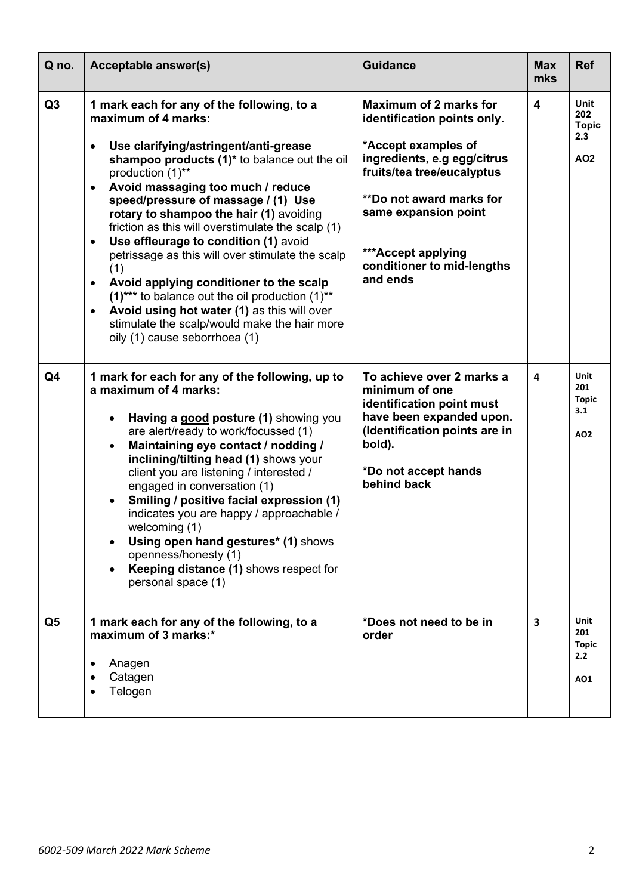| Q no.          | <b>Acceptable answer(s)</b>                                                                                                                                                                                                                                                                                                                                                                                                                                                                                                                                                                                                                                                                                                                   | <b>Guidance</b>                                                                                                                                                                                                                                                             | <b>Max</b><br>mks       | <b>Ref</b>                                       |
|----------------|-----------------------------------------------------------------------------------------------------------------------------------------------------------------------------------------------------------------------------------------------------------------------------------------------------------------------------------------------------------------------------------------------------------------------------------------------------------------------------------------------------------------------------------------------------------------------------------------------------------------------------------------------------------------------------------------------------------------------------------------------|-----------------------------------------------------------------------------------------------------------------------------------------------------------------------------------------------------------------------------------------------------------------------------|-------------------------|--------------------------------------------------|
| Q3             | 1 mark each for any of the following, to a<br>maximum of 4 marks:<br>Use clarifying/astringent/anti-grease<br>shampoo products (1)* to balance out the oil<br>production (1)**<br>Avoid massaging too much / reduce<br>$\bullet$<br>speed/pressure of massage / (1) Use<br>rotary to shampoo the hair (1) avoiding<br>friction as this will overstimulate the scalp (1)<br>Use effleurage to condition (1) avoid<br>$\bullet$<br>petrissage as this will over stimulate the scalp<br>(1)<br>Avoid applying conditioner to the scalp<br>٠<br>$(1)$ *** to balance out the oil production $(1)$ **<br>Avoid using hot water (1) as this will over<br>$\bullet$<br>stimulate the scalp/would make the hair more<br>oily (1) cause seborrhoea (1) | <b>Maximum of 2 marks for</b><br>identification points only.<br>*Accept examples of<br>ingredients, e.g egg/citrus<br>fruits/tea tree/eucalyptus<br><b>**Do not award marks for</b><br>same expansion point<br>***Accept applying<br>conditioner to mid-lengths<br>and ends | $\overline{\mathbf{4}}$ | Unit<br>202<br><b>Topic</b><br>2.3<br><b>AO2</b> |
| Q <sub>4</sub> | 1 mark for each for any of the following, up to<br>a maximum of 4 marks:<br>Having a good posture (1) showing you<br>$\bullet$<br>are alert/ready to work/focussed (1)<br>Maintaining eye contact / nodding /<br>$\bullet$<br>inclining/tilting head (1) shows your<br>client you are listening / interested /<br>engaged in conversation (1)<br>Smiling / positive facial expression (1)<br>$\bullet$<br>indicates you are happy / approachable /<br>welcoming (1)<br>Using open hand gestures* (1) shows<br>openness/honesty (1)<br>Keeping distance (1) shows respect for<br>personal space (1)                                                                                                                                            | To achieve over 2 marks a<br>minimum of one<br>identification point must<br>have been expanded upon.<br>(Identification points are in<br>bold).<br>*Do not accept hands<br>behind back                                                                                      | 4                       | Unit<br>201<br><b>Topic</b><br>3.1<br>AO2        |
| Q <sub>5</sub> | 1 mark each for any of the following, to a<br>maximum of 3 marks:*<br>Anagen<br>Catagen<br>Telogen                                                                                                                                                                                                                                                                                                                                                                                                                                                                                                                                                                                                                                            | *Does not need to be in<br>order                                                                                                                                                                                                                                            | 3                       | <b>Unit</b><br>201<br><b>Topic</b><br>2.2<br>AO1 |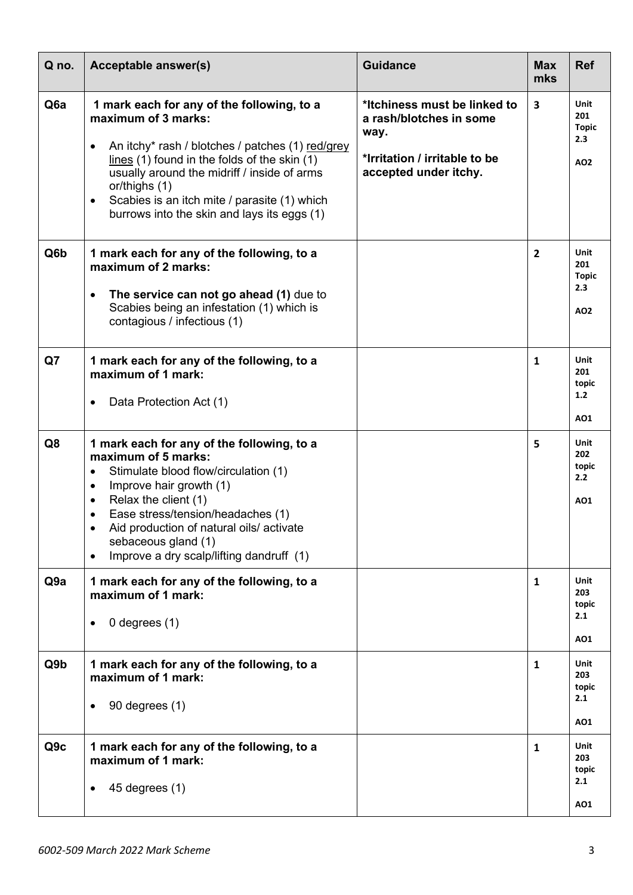| Q no.            | Acceptable answer(s)                                                                                                                                                                                                                                                                                                                                                             | <b>Guidance</b>                                                                                                           | <b>Max</b><br>mks       | <b>Ref</b>                                |
|------------------|----------------------------------------------------------------------------------------------------------------------------------------------------------------------------------------------------------------------------------------------------------------------------------------------------------------------------------------------------------------------------------|---------------------------------------------------------------------------------------------------------------------------|-------------------------|-------------------------------------------|
| Q <sub>6</sub> a | 1 mark each for any of the following, to a<br>maximum of 3 marks:<br>An itchy* rash / blotches / patches (1) red/grey<br>$lines (1)$ found in the folds of the skin $(1)$<br>usually around the midriff / inside of arms<br>or/thighs (1)<br>Scabies is an itch mite / parasite (1) which<br>$\bullet$<br>burrows into the skin and lays its eggs (1)                            | *Itchiness must be linked to<br>a rash/blotches in some<br>way.<br>*Irritation / irritable to be<br>accepted under itchy. | $\overline{\mathbf{3}}$ | Unit<br>201<br><b>Topic</b><br>2.3<br>AO2 |
| Q6b              | 1 mark each for any of the following, to a<br>maximum of 2 marks:<br>The service can not go ahead (1) due to<br>٠<br>Scabies being an infestation (1) which is<br>contagious / infectious (1)                                                                                                                                                                                    |                                                                                                                           | $\overline{2}$          | Unit<br>201<br><b>Topic</b><br>2.3<br>AO2 |
| Q7               | 1 mark each for any of the following, to a<br>maximum of 1 mark:<br>Data Protection Act (1)<br>٠                                                                                                                                                                                                                                                                                 |                                                                                                                           | $\mathbf{1}$            | Unit<br>201<br>topic<br>1.2<br>AO1        |
| Q8               | 1 mark each for any of the following, to a<br>maximum of 5 marks:<br>Stimulate blood flow/circulation (1)<br>$\bullet$<br>Improve hair growth (1)<br>$\bullet$<br>Relax the client (1)<br>$\bullet$<br>Ease stress/tension/headaches (1)<br>$\bullet$<br>Aid production of natural oils/activate<br>sebaceous gland (1)<br>Improve a dry scalp/lifting dandruff (1)<br>$\bullet$ |                                                                                                                           | 5                       | Unit<br>202<br>topic<br>2.2<br>AO1        |
| Q9a              | 1 mark each for any of the following, to a<br>maximum of 1 mark:<br>0 degrees $(1)$<br>٠                                                                                                                                                                                                                                                                                         |                                                                                                                           | $\mathbf{1}$            | Unit<br>203<br>topic<br>2.1<br>AO1        |
| Q9 <sub>b</sub>  | 1 mark each for any of the following, to a<br>maximum of 1 mark:<br>90 degrees (1)<br>٠                                                                                                                                                                                                                                                                                          |                                                                                                                           | $\mathbf{1}$            | Unit<br>203<br>topic<br>2.1<br>AO1        |
| Q9c              | 1 mark each for any of the following, to a<br>maximum of 1 mark:<br>$45$ degrees $(1)$<br>٠                                                                                                                                                                                                                                                                                      |                                                                                                                           | $\mathbf{1}$            | Unit<br>203<br>topic<br>2.1<br>AO1        |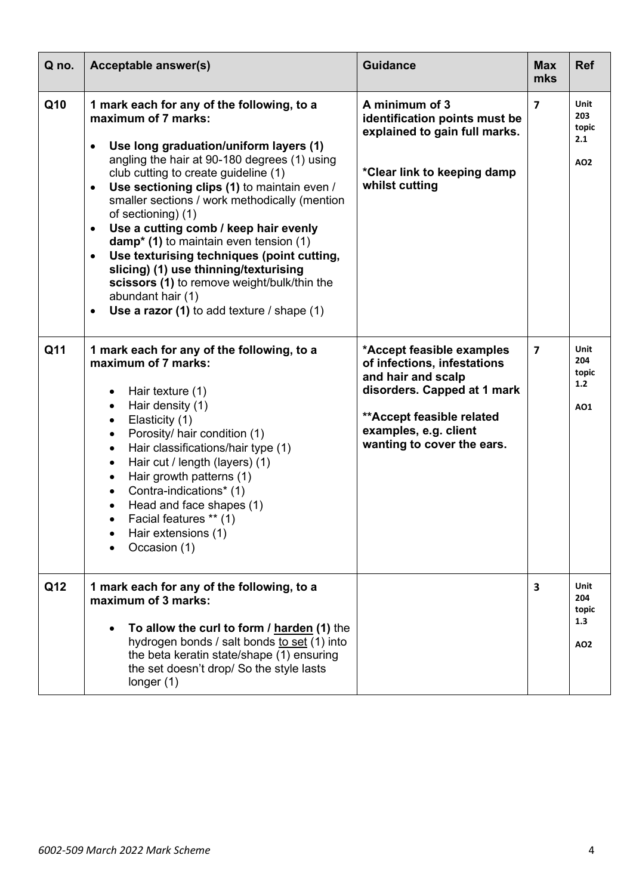| Q no. | Acceptable answer(s)                                                                                                                                                                                                                                                                                                                                                                                                                                                                                                                                                                                                                                                            | <b>Guidance</b>                                                                                                                                                                                    | <b>Max</b><br>mks       | <b>Ref</b>                         |
|-------|---------------------------------------------------------------------------------------------------------------------------------------------------------------------------------------------------------------------------------------------------------------------------------------------------------------------------------------------------------------------------------------------------------------------------------------------------------------------------------------------------------------------------------------------------------------------------------------------------------------------------------------------------------------------------------|----------------------------------------------------------------------------------------------------------------------------------------------------------------------------------------------------|-------------------------|------------------------------------|
| Q10   | 1 mark each for any of the following, to a<br>maximum of 7 marks:<br>Use long graduation/uniform layers (1)<br>angling the hair at 90-180 degrees (1) using<br>club cutting to create guideline (1)<br>Use sectioning clips (1) to maintain even /<br>$\bullet$<br>smaller sections / work methodically (mention<br>of sectioning) (1)<br>Use a cutting comb / keep hair evenly<br>$\bullet$<br>$damp* (1)$ to maintain even tension $(1)$<br>Use texturising techniques (point cutting,<br>$\bullet$<br>slicing) (1) use thinning/texturising<br>scissors (1) to remove weight/bulk/thin the<br>abundant hair (1)<br>Use a razor (1) to add texture $/$ shape (1)<br>$\bullet$ | A minimum of 3<br>identification points must be<br>explained to gain full marks.<br>*Clear link to keeping damp<br>whilst cutting                                                                  | $\overline{\mathbf{z}}$ | Unit<br>203<br>topic<br>2.1<br>AO2 |
| Q11   | 1 mark each for any of the following, to a<br>maximum of 7 marks:<br>Hair texture (1)<br>$\bullet$<br>Hair density (1)<br>$\bullet$<br>Elasticity (1)<br>$\bullet$<br>Porosity/ hair condition (1)<br>$\bullet$<br>Hair classifications/hair type (1)<br>$\bullet$<br>Hair cut / length (layers) (1)<br>$\bullet$<br>Hair growth patterns (1)<br>$\bullet$<br>Contra-indications* (1)<br>$\bullet$<br>Head and face shapes (1)<br>Facial features ** (1)<br>$\bullet$<br>Hair extensions (1)<br>Occasion (1)                                                                                                                                                                    | *Accept feasible examples<br>of infections, infestations<br>and hair and scalp<br>disorders. Capped at 1 mark<br>** Accept feasible related<br>examples, e.g. client<br>wanting to cover the ears. | $\overline{7}$          | Unit<br>204<br>topic<br>1.2<br>A01 |
| Q12   | 1 mark each for any of the following, to a<br>maximum of 3 marks:<br>To allow the curl to form / harden (1) the<br>hydrogen bonds / salt bonds to set (1) into<br>the beta keratin state/shape (1) ensuring<br>the set doesn't drop/ So the style lasts<br>longer $(1)$                                                                                                                                                                                                                                                                                                                                                                                                         |                                                                                                                                                                                                    | 3                       | Unit<br>204<br>topic<br>1.3<br>AO2 |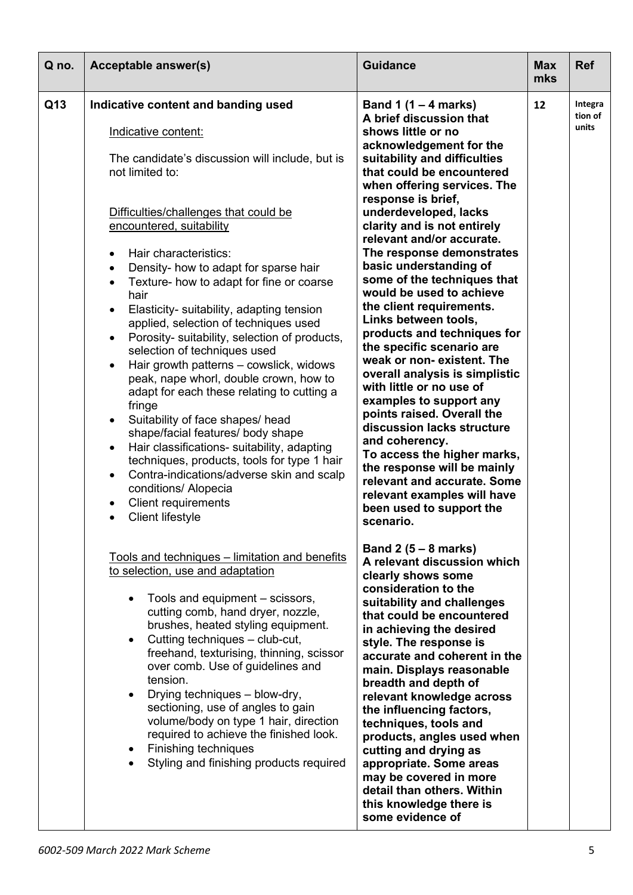| Q no. | Acceptable answer(s)                                                                                                                                                                                                                                                                                                                                                                                                                                                                                                                                                                                                                                                                                                                                                                                                                                                                                                                                                                                                                                                                   | <b>Guidance</b>                                                                                                                                                                                                                                                                                                                                                                                                                                                                                                                                                                                                                                                                                                                                                                                                                                                                                                      | <b>Max</b><br>mks | <b>Ref</b>                  |
|-------|----------------------------------------------------------------------------------------------------------------------------------------------------------------------------------------------------------------------------------------------------------------------------------------------------------------------------------------------------------------------------------------------------------------------------------------------------------------------------------------------------------------------------------------------------------------------------------------------------------------------------------------------------------------------------------------------------------------------------------------------------------------------------------------------------------------------------------------------------------------------------------------------------------------------------------------------------------------------------------------------------------------------------------------------------------------------------------------|----------------------------------------------------------------------------------------------------------------------------------------------------------------------------------------------------------------------------------------------------------------------------------------------------------------------------------------------------------------------------------------------------------------------------------------------------------------------------------------------------------------------------------------------------------------------------------------------------------------------------------------------------------------------------------------------------------------------------------------------------------------------------------------------------------------------------------------------------------------------------------------------------------------------|-------------------|-----------------------------|
| Q13   | Indicative content and banding used<br>Indicative content:<br>The candidate's discussion will include, but is<br>not limited to:<br>Difficulties/challenges that could be<br>encountered, suitability<br>Hair characteristics:<br>$\bullet$<br>Density- how to adapt for sparse hair<br>$\bullet$<br>Texture- how to adapt for fine or coarse<br>$\bullet$<br>hair<br>Elasticity- suitability, adapting tension<br>$\bullet$<br>applied, selection of techniques used<br>Porosity- suitability, selection of products,<br>$\bullet$<br>selection of techniques used<br>Hair growth patterns - cowslick, widows<br>$\bullet$<br>peak, nape whorl, double crown, how to<br>adapt for each these relating to cutting a<br>fringe<br>Suitability of face shapes/ head<br>$\bullet$<br>shape/facial features/ body shape<br>Hair classifications- suitability, adapting<br>$\bullet$<br>techniques, products, tools for type 1 hair<br>Contra-indications/adverse skin and scalp<br>$\bullet$<br>conditions/ Alopecia<br><b>Client requirements</b><br><b>Client lifestyle</b><br>$\bullet$ | Band 1 $(1 – 4$ marks)<br>A brief discussion that<br>shows little or no<br>acknowledgement for the<br>suitability and difficulties<br>that could be encountered<br>when offering services. The<br>response is brief,<br>underdeveloped, lacks<br>clarity and is not entirely<br>relevant and/or accurate.<br>The response demonstrates<br>basic understanding of<br>some of the techniques that<br>would be used to achieve<br>the client requirements.<br>Links between tools,<br>products and techniques for<br>the specific scenario are<br>weak or non-existent. The<br>overall analysis is simplistic<br>with little or no use of<br>examples to support any<br>points raised. Overall the<br>discussion lacks structure<br>and coherency.<br>To access the higher marks,<br>the response will be mainly<br>relevant and accurate. Some<br>relevant examples will have<br>been used to support the<br>scenario. | 12                | Integra<br>tion of<br>units |
|       | Tools and techniques - limitation and benefits<br>to selection, use and adaptation<br>Tools and equipment – scissors,<br>cutting comb, hand dryer, nozzle,<br>brushes, heated styling equipment.<br>Cutting techniques - club-cut,<br>freehand, texturising, thinning, scissor<br>over comb. Use of guidelines and<br>tension.<br>Drying techniques - blow-dry,<br>sectioning, use of angles to gain<br>volume/body on type 1 hair, direction<br>required to achieve the finished look.<br><b>Finishing techniques</b><br>Styling and finishing products required                                                                                                                                                                                                                                                                                                                                                                                                                                                                                                                      | Band $2(5-8$ marks)<br>A relevant discussion which<br>clearly shows some<br>consideration to the<br>suitability and challenges<br>that could be encountered<br>in achieving the desired<br>style. The response is<br>accurate and coherent in the<br>main. Displays reasonable<br>breadth and depth of<br>relevant knowledge across<br>the influencing factors,<br>techniques, tools and<br>products, angles used when<br>cutting and drying as<br>appropriate. Some areas<br>may be covered in more<br>detail than others. Within<br>this knowledge there is<br>some evidence of                                                                                                                                                                                                                                                                                                                                    |                   |                             |